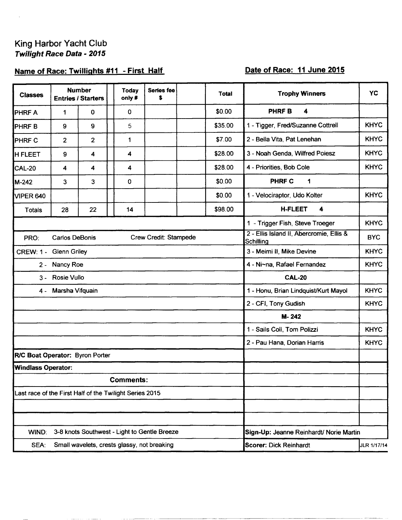# King Harbor Yacht Club<br>Twilight Race Data - 2015

### Name of Race: Twillights #11 - First Half

## Date of Race: 11 June 2015

| <b>Classes</b>                                          |                  | <b>Number</b><br><b>Entries / Starters</b> | <b>Today</b><br>only #                       | Series fee<br>\$ |  | Total   | <b>Trophy Winners</b>                                 | YC          |  |
|---------------------------------------------------------|------------------|--------------------------------------------|----------------------------------------------|------------------|--|---------|-------------------------------------------------------|-------------|--|
| <b>PHRFA</b>                                            | 1                | 0                                          | 0                                            |                  |  | \$0.00  | <b>PHRFB</b><br>4                                     |             |  |
| <b>PHRFB</b>                                            | $\boldsymbol{9}$ | 9                                          | 5                                            |                  |  | \$35.00 | 1 - Tigger, Fred/Suzanne Cottrell                     | <b>KHYC</b> |  |
| <b>PHRF C</b>                                           | $\overline{2}$   | $\overline{2}$                             | 1                                            |                  |  | \$7.00  | 2 - Bella Vita, Pat Lenehan                           | <b>KHYC</b> |  |
| <b>H FLEET</b>                                          | 9                | 4                                          | 4                                            |                  |  | \$28.00 | 3 - Noah Genda, Wilfred Poiesz                        | <b>KHYC</b> |  |
| CAL-20                                                  | 4                | 4                                          | 4                                            |                  |  | \$28.00 | 4 - Priorities, Bob Cole                              | <b>KHYC</b> |  |
| M-242                                                   | 3                | 3                                          | 0                                            |                  |  | \$0.00  | <b>PHRF C</b><br>1                                    |             |  |
| VIPER 640                                               |                  |                                            |                                              |                  |  | \$0.00  | 1 - Velociraptor, Udo Kolter                          | <b>KHYC</b> |  |
| <b>Totals</b>                                           | 28               | 22                                         | 14                                           |                  |  | \$98.00 | <b>H-FLEET</b><br>4                                   |             |  |
|                                                         |                  |                                            |                                              |                  |  |         | 1 - Trigger Fish, Steve Troeger                       | <b>KHYC</b> |  |
| <b>Carlos DeBonis</b><br>Crew Credit: Stampede<br>PRO:  |                  |                                            |                                              |                  |  |         | 2 - Ellis Island II, Abercromie, Ellis &<br>Schilling |             |  |
| CREW: 1 - Glenn Griley                                  |                  |                                            |                                              |                  |  |         | 3 - Meimi II, Mike Devine                             | <b>KHYC</b> |  |
| 2 - Nancy Roe                                           |                  |                                            |                                              |                  |  |         | 4 - Ni~na, Rafael Fernandez                           | <b>KHYC</b> |  |
| 3 - Rosie Vullo                                         |                  |                                            |                                              |                  |  |         | <b>CAL-20</b>                                         |             |  |
| Marsha Vifquain<br>4 -                                  |                  |                                            |                                              |                  |  |         | 1 - Honu, Brian Lindquist/Kurt Mayol                  | <b>KHYC</b> |  |
|                                                         |                  |                                            |                                              |                  |  |         | 2 - CFI, Tony Gudish                                  | <b>KHYC</b> |  |
|                                                         |                  |                                            |                                              |                  |  |         | M-242                                                 |             |  |
|                                                         |                  |                                            |                                              |                  |  |         | 1 - Sails Coll, Tom Polizzi                           | <b>KHYC</b> |  |
|                                                         |                  |                                            |                                              |                  |  |         | 2 - Pau Hana, Dorian Harris                           | <b>KHYC</b> |  |
| R/C Boat Operator: Byron Porter                         |                  |                                            |                                              |                  |  |         |                                                       |             |  |
| <b>Windlass Operator:</b>                               |                  |                                            |                                              |                  |  |         |                                                       |             |  |
| Comments:                                               |                  |                                            |                                              |                  |  |         |                                                       |             |  |
| Last race of the First Half of the Twilight Series 2015 |                  |                                            |                                              |                  |  |         |                                                       |             |  |
|                                                         |                  |                                            |                                              |                  |  |         |                                                       |             |  |
|                                                         |                  |                                            |                                              |                  |  |         |                                                       |             |  |
| WIND:                                                   |                  |                                            | 3-8 knots Southwest - Light to Gentle Breeze |                  |  |         | Sign-Up: Jeanne Reinhardt/ Norie Martin               |             |  |
| SEA:                                                    |                  |                                            | Small wavelets, crests glassy, not breaking  |                  |  |         | Scorer: Dick Reinhardt                                | JLR 1/17/14 |  |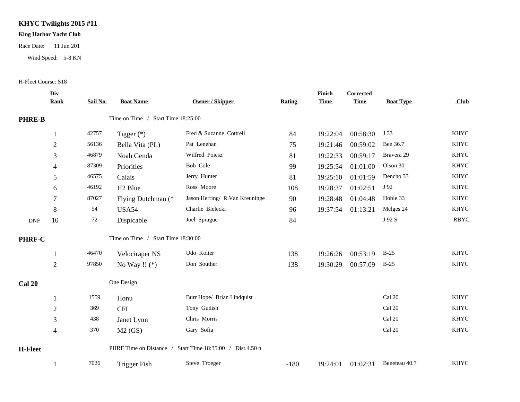#### **KHYC Twilights 2015 #11**

#### **King Harbor Yacht Club**

Race Date: 11 Jun 201

Wind Speed: 5-8 KN

#### H-Fleet Course: S18

|                | Div            |          |                                    |                                                           |        | Finish      | Corrected   |                  |             |
|----------------|----------------|----------|------------------------------------|-----------------------------------------------------------|--------|-------------|-------------|------------------|-------------|
|                | <b>Rank</b>    | Sail No. | <b>Boat Name</b>                   | <b>Owner / Skipper</b>                                    | Rating | <b>Time</b> | <b>Time</b> | <b>Boat Type</b> | Club        |
| <b>PHRE-B</b>  |                |          | Time on Time / Start Time 18:25:00 |                                                           |        |             |             |                  |             |
|                |                | 42757    | Tigger $(*)$                       | Fred & Suzanne Cottrell                                   | 84     | 19:22:04    | 00:58:30    | J 33             | <b>KHYC</b> |
|                | $\overline{2}$ | 56136    | Bella Vita (PL)                    | Pat Lenehan                                               | 75     | 19:21:46    | 00:59:02    | Ben 36.7         | <b>KHYC</b> |
|                | 3              | 46879    | Noah Genda                         | Wilfred Poiesz                                            | 81     | 19:22:33    | 00:59:17    | Bravera 29       | <b>KHYC</b> |
|                | 4              | 87309    | Priorities                         | Bob Cole                                                  | 99     | 19:25:54    | 01:01:00    | Olson 30         | <b>KHYC</b> |
|                | 5              | 46575    | Calais                             | Jerry Hunter                                              | 81     | 19:25:10    | 01:01:59    | Dencho 33        | <b>KHYC</b> |
|                | 6              | 46192    | H <sub>2</sub> Blue                | Ross Moore                                                | 108    | 19:28:37    | 01:02:51    | J 92             | <b>KHYC</b> |
|                | 7              | 87027    | Flying Dutchman (*                 | Jason Herring/ R.Van Kreuninge                            | 90     | 19:28:48    | 01:04:48    | Hobie 33         | <b>KHYC</b> |
|                | $\,8\,$        | 54       | <b>USA54</b>                       | Charlie Bielecki                                          | 96     | 19:37:54    | 01:13:21    | Melges 24        | <b>KHYC</b> |
| <b>DNF</b>     | 10             | 72       | Dispicable                         | Joel Sprague                                              | 84     |             |             | J 92 S           | <b>RBYC</b> |
| PHRF-C         |                |          | Time on Time / Start Time 18:30:00 |                                                           |        |             |             |                  |             |
|                |                | 46470    | Velociraper NS                     | Udo Kolter                                                | 138    | 19:26:26    | 00:53:19    | $B-25$           | <b>KHYC</b> |
|                | $\overline{2}$ | 97850    | No Way !! $(*)$                    | Don Souther                                               | 138    | 19:30:29    | 00:57:09    | $B-25$           | <b>KHYC</b> |
| <b>Cal 20</b>  |                |          | One Design                         |                                                           |        |             |             |                  |             |
|                |                | 1559     | Honu                               | Burr Hope/ Brian Lindquist                                |        |             |             | Cal 20           | <b>KHYC</b> |
|                | $\overline{2}$ | 369      | <b>CFI</b>                         | Tony Gudish                                               |        |             |             | Cal 20           | <b>KHYC</b> |
|                | 3              | 438      | Janet Lynn                         | Chris Morris                                              |        |             |             | Cal 20           | <b>KHYC</b> |
|                | $\overline{4}$ | 370      | M2(GS)                             | Gary Sofia                                                |        |             |             | Cal 20           | <b>KHYC</b> |
| <b>H-Fleet</b> |                |          |                                    | PHRF Time on Distance / Start Time 18:35:00 / Dist.4.50 n |        |             |             |                  |             |
|                |                | 7026     | <b>Trigger Fish</b>                | Steve Troeger                                             | $-180$ | 19:24:01    | 01:02:31    | Beneteau 40.7    | <b>KHYC</b> |
|                |                |          |                                    |                                                           |        |             |             |                  |             |